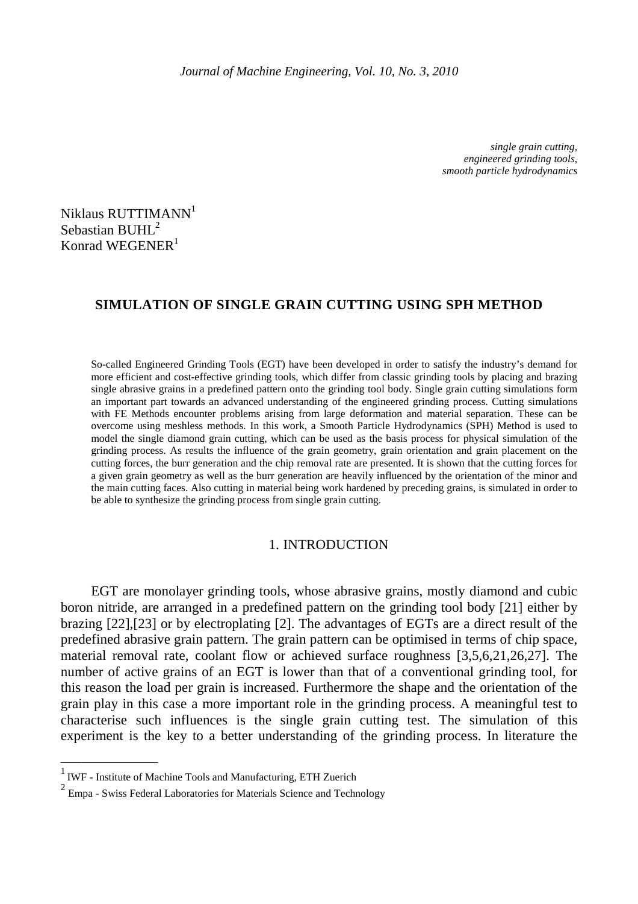*single grain cutting, engineered grinding tools, smooth particle hydrodynamics* 

Niklaus RUTTIMANN<sup>1</sup> Sebastian BUHL<sup>2</sup> Konrad WEGENER<sup>1</sup>

# **SIMULATION OF SINGLE GRAIN CUTTING USING SPH METHOD**

So-called Engineered Grinding Tools (EGT) have been developed in order to satisfy the industry's demand for more efficient and cost-effective grinding tools, which differ from classic grinding tools by placing and brazing single abrasive grains in a predefined pattern onto the grinding tool body. Single grain cutting simulations form an important part towards an advanced understanding of the engineered grinding process. Cutting simulations with FE Methods encounter problems arising from large deformation and material separation. These can be overcome using meshless methods. In this work, a Smooth Particle Hydrodynamics (SPH) Method is used to model the single diamond grain cutting, which can be used as the basis process for physical simulation of the grinding process. As results the influence of the grain geometry, grain orientation and grain placement on the cutting forces, the burr generation and the chip removal rate are presented. It is shown that the cutting forces for a given grain geometry as well as the burr generation are heavily influenced by the orientation of the minor and the main cutting faces. Also cutting in material being work hardened by preceding grains, is simulated in order to be able to synthesize the grinding process from single grain cutting.

## 1. INTRODUCTION

EGT are monolayer grinding tools, whose abrasive grains, mostly diamond and cubic boron nitride, are arranged in a predefined pattern on the grinding tool body [21] either by brazing [22],[23] or by electroplating [2]. The advantages of EGTs are a direct result of the predefined abrasive grain pattern. The grain pattern can be optimised in terms of chip space, material removal rate, coolant flow or achieved surface roughness [3,5,6,21,26,27]. The number of active grains of an EGT is lower than that of a conventional grinding tool, for this reason the load per grain is increased. Furthermore the shape and the orientation of the grain play in this case a more important role in the grinding process. A meaningful test to characterise such influences is the single grain cutting test. The simulation of this experiment is the key to a better understanding of the grinding process. In literature the

\_\_\_\_\_\_\_\_\_\_\_\_\_\_

<sup>&</sup>lt;sup>1</sup> IWF - Institute of Machine Tools and Manufacturing, ETH Zuerich

 $2$  Empa - Swiss Federal Laboratories for Materials Science and Technology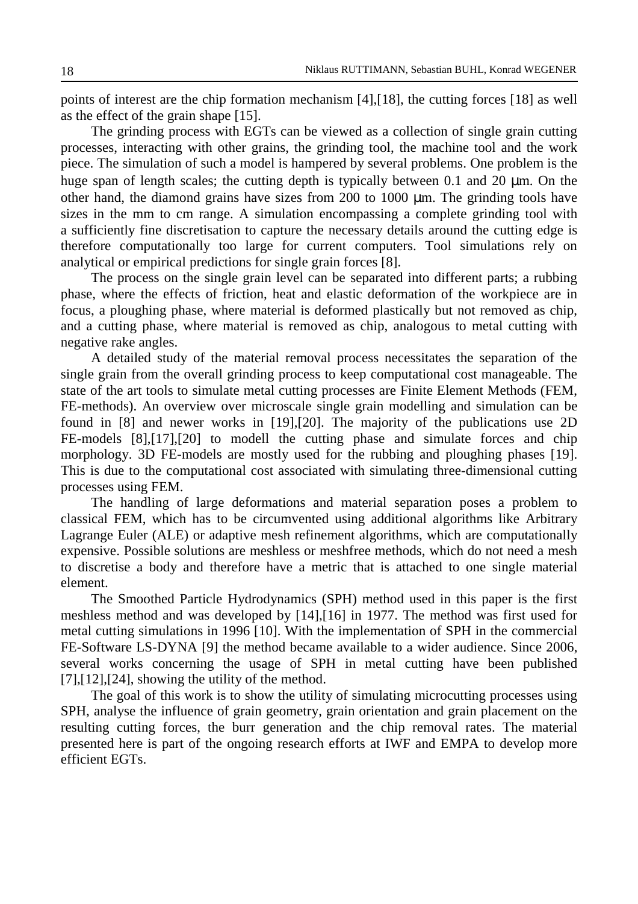points of interest are the chip formation mechanism [4],[18], the cutting forces [18] as well as the effect of the grain shape [15].

The grinding process with EGTs can be viewed as a collection of single grain cutting processes, interacting with other grains, the grinding tool, the machine tool and the work piece. The simulation of such a model is hampered by several problems. One problem is the huge span of length scales; the cutting depth is typically between 0.1 and 20  $\mu$ m. On the other hand, the diamond grains have sizes from  $200$  to  $1000 \mu m$ . The grinding tools have sizes in the mm to cm range. A simulation encompassing a complete grinding tool with a sufficiently fine discretisation to capture the necessary details around the cutting edge is therefore computationally too large for current computers. Tool simulations rely on analytical or empirical predictions for single grain forces [8].

The process on the single grain level can be separated into different parts; a rubbing phase, where the effects of friction, heat and elastic deformation of the workpiece are in focus, a ploughing phase, where material is deformed plastically but not removed as chip, and a cutting phase, where material is removed as chip, analogous to metal cutting with negative rake angles.

A detailed study of the material removal process necessitates the separation of the single grain from the overall grinding process to keep computational cost manageable. The state of the art tools to simulate metal cutting processes are Finite Element Methods (FEM, FE-methods). An overview over microscale single grain modelling and simulation can be found in [8] and newer works in [19],[20]. The majority of the publications use 2D FE-models [8],[17],[20] to modell the cutting phase and simulate forces and chip morphology. 3D FE-models are mostly used for the rubbing and ploughing phases [19]. This is due to the computational cost associated with simulating three-dimensional cutting processes using FEM.

The handling of large deformations and material separation poses a problem to classical FEM, which has to be circumvented using additional algorithms like Arbitrary Lagrange Euler (ALE) or adaptive mesh refinement algorithms, which are computationally expensive. Possible solutions are meshless or meshfree methods, which do not need a mesh to discretise a body and therefore have a metric that is attached to one single material element.

The Smoothed Particle Hydrodynamics (SPH) method used in this paper is the first meshless method and was developed by [14],[16] in 1977. The method was first used for metal cutting simulations in 1996 [10]. With the implementation of SPH in the commercial FE-Software LS-DYNA [9] the method became available to a wider audience. Since 2006, several works concerning the usage of SPH in metal cutting have been published  $[7]$ , $[12]$ , $[24]$ , showing the utility of the method.

The goal of this work is to show the utility of simulating microcutting processes using SPH, analyse the influence of grain geometry, grain orientation and grain placement on the resulting cutting forces, the burr generation and the chip removal rates. The material presented here is part of the ongoing research efforts at IWF and EMPA to develop more efficient EGTs.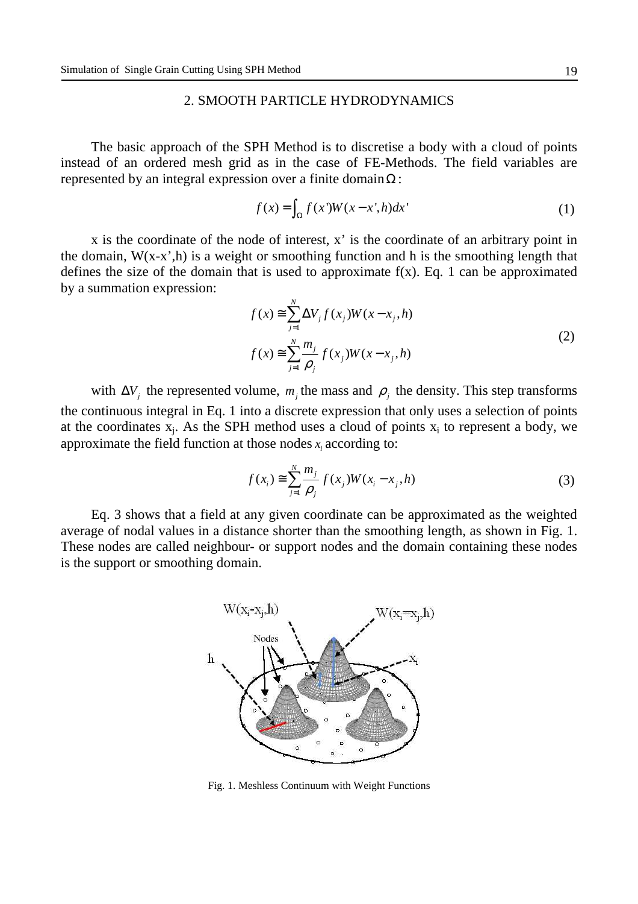## 2. SMOOTH PARTICLE HYDRODYNAMICS

The basic approach of the SPH Method is to discretise a body with a cloud of points instead of an ordered mesh grid as in the case of FE-Methods. The field variables are represented by an integral expression over a finite domain  $\Omega$ :

$$
f(x) = \int_{\Omega} f(x')W(x - x', h)dx'
$$
 (1)

x is the coordinate of the node of interest, x' is the coordinate of an arbitrary point in the domain,  $W(x-x',h)$  is a weight or smoothing function and h is the smoothing length that defines the size of the domain that is used to approximate  $f(x)$ . Eq. 1 can be approximated by a summation expression:

$$
f(x) \approx \sum_{j=1}^{N} \Delta V_j f(x_j) W(x - x_j, h)
$$
  

$$
f(x) \approx \sum_{j=1}^{N} \frac{m_j}{\rho_j} f(x_j) W(x - x_j, h)
$$
 (2)

with  $\Delta V_j$  the represented volume,  $m_j$  the mass and  $\rho_j$  the density. This step transforms the continuous integral in Eq. 1 into a discrete expression that only uses a selection of points at the coordinates  $x_j$ . As the SPH method uses a cloud of points  $x_i$  to represent a body, we approximate the field function at those nodes  $x_i$  according to:

$$
f(x_i) \approx \sum_{j=1}^{N} \frac{m_j}{\rho_j} f(x_j) W(x_i - x_j, h)
$$
 (3)

Eq. 3 shows that a field at any given coordinate can be approximated as the weighted average of nodal values in a distance shorter than the smoothing length, as shown in Fig. 1. These nodes are called neighbour- or support nodes and the domain containing these nodes is the support or smoothing domain.



Fig. 1. Meshless Continuum with Weight Functions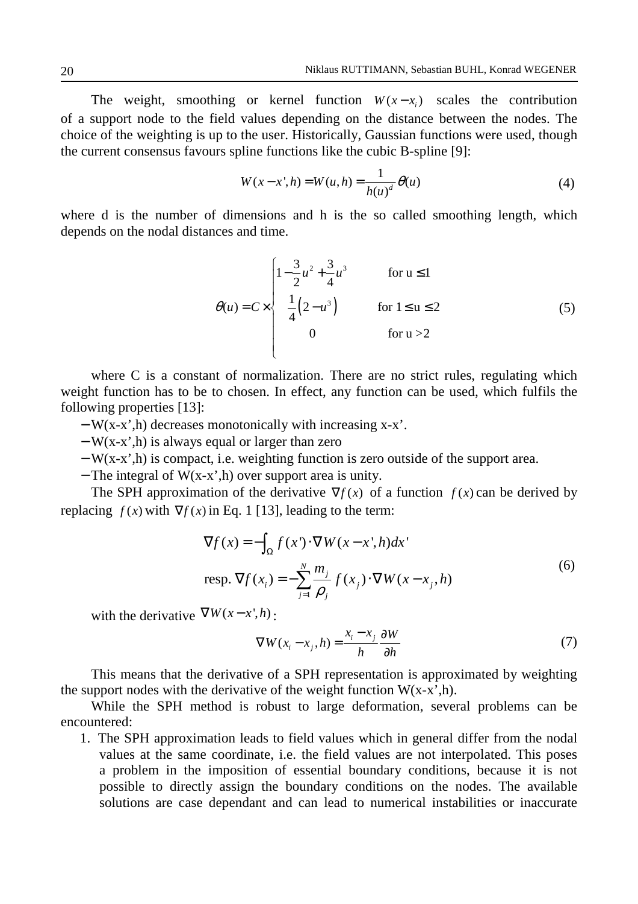The weight, smoothing or kernel function  $W(x - x)$  scales the contribution of a support node to the field values depending on the distance between the nodes. The choice of the weighting is up to the user. Historically, Gaussian functions were used, though the current consensus favours spline functions like the cubic B-spline [9]:

$$
W(x - x', h) = W(u, h) = \frac{1}{h(u)^d} \theta(u)
$$
 (4)

where d is the number of dimensions and h is the so called smoothing length, which depends on the nodal distances and time.

$$
\theta(u) = C \times \begin{cases}\n1 - \frac{3}{2}u^2 + \frac{3}{4}u^3 & \text{for } u \le 1 \\
\frac{1}{4}(2 - u^3) & \text{for } 1 \le u \le 2 \\
0 & \text{for } u > 2\n\end{cases}
$$
\n(5)

where C is a constant of normalization. There are no strict rules, regulating which weight function has to be to chosen. In effect, any function can be used, which fulfils the following properties [13]:

- − W(x-x',h) decreases monotonically with increasing x-x'.
- − W(x-x',h) is always equal or larger than zero
- − W(x-x',h) is compact, i.e. weighting function is zero outside of the support area.
- − The integral of W(x-x',h) over support area is unity.

The SPH approximation of the derivative  $\nabla f(x)$  of a function  $f(x)$  can be derived by replacing  $f(x)$  with  $\nabla f(x)$  in Eq. 1 [13], leading to the term:

$$
\nabla f(x) = -\int_{\Omega} f(x') \cdot \nabla W(x - x', h) dx'
$$
  
resp. 
$$
\nabla f(x_i) = -\sum_{j=1}^{N} \frac{m_j}{\rho_j} f(x_j) \cdot \nabla W(x - x_j, h)
$$
 (6)

with the derivative  $\nabla W(x-x',h)$ :

$$
\nabla W(x_i - x_j, h) = \frac{x_i - x_j}{h} \frac{\partial W}{\partial h}
$$
 (7)

This means that the derivative of a SPH representation is approximated by weighting the support nodes with the derivative of the weight function  $W(x-x), h$ ).

While the SPH method is robust to large deformation, several problems can be encountered:

1. The SPH approximation leads to field values which in general differ from the nodal values at the same coordinate, i.e. the field values are not interpolated. This poses a problem in the imposition of essential boundary conditions, because it is not possible to directly assign the boundary conditions on the nodes. The available solutions are case dependant and can lead to numerical instabilities or inaccurate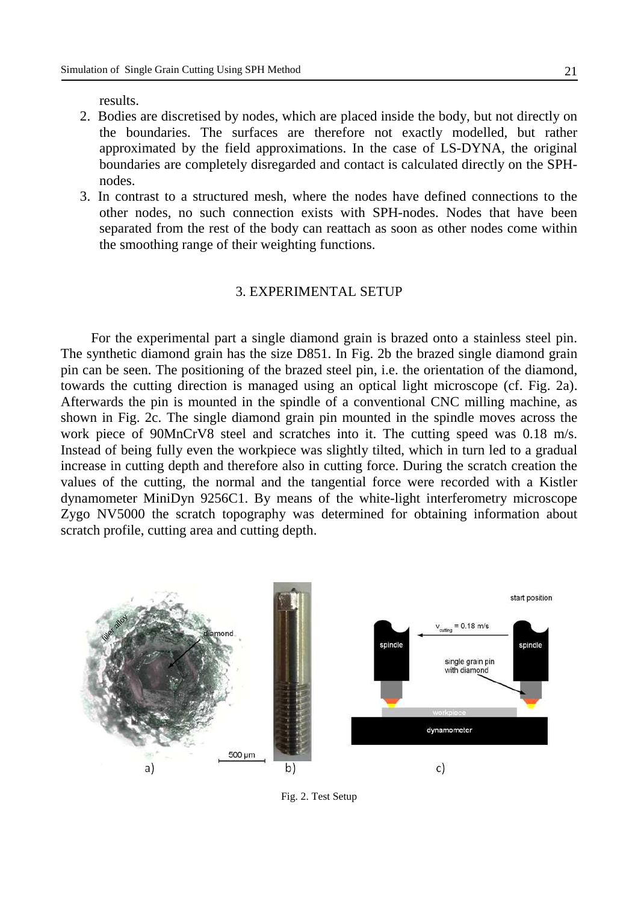results.

- 2. Bodies are discretised by nodes, which are placed inside the body, but not directly on the boundaries. The surfaces are therefore not exactly modelled, but rather approximated by the field approximations. In the case of LS-DYNA, the original boundaries are completely disregarded and contact is calculated directly on the SPHnodes.
- 3. In contrast to a structured mesh, where the nodes have defined connections to the other nodes, no such connection exists with SPH-nodes. Nodes that have been separated from the rest of the body can reattach as soon as other nodes come within the smoothing range of their weighting functions.

## 3. EXPERIMENTAL SETUP

For the experimental part a single diamond grain is brazed onto a stainless steel pin. The synthetic diamond grain has the size D851. In Fig. 2b the brazed single diamond grain pin can be seen. The positioning of the brazed steel pin, i.e. the orientation of the diamond, towards the cutting direction is managed using an optical light microscope (cf. Fig. 2a). Afterwards the pin is mounted in the spindle of a conventional CNC milling machine, as shown in Fig. 2c. The single diamond grain pin mounted in the spindle moves across the work piece of 90MnCrV8 steel and scratches into it. The cutting speed was 0.18 m/s. Instead of being fully even the workpiece was slightly tilted, which in turn led to a gradual increase in cutting depth and therefore also in cutting force. During the scratch creation the values of the cutting, the normal and the tangential force were recorded with a Kistler dynamometer MiniDyn 9256C1. By means of the white-light interferometry microscope Zygo NV5000 the scratch topography was determined for obtaining information about scratch profile, cutting area and cutting depth.



Fig. 2. Test Setup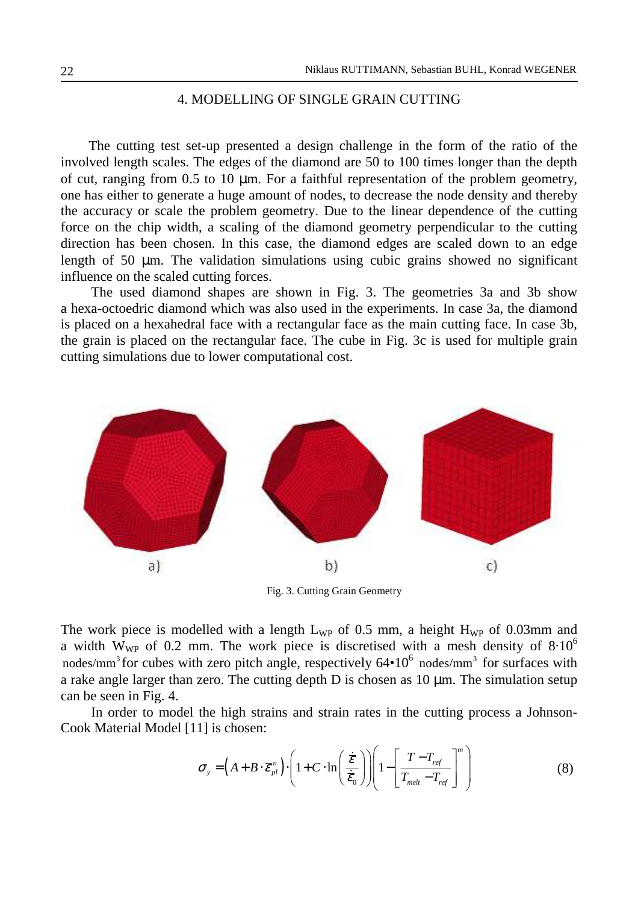## 4. MODELLING OF SINGLE GRAIN CUTTING

The cutting test set-up presented a design challenge in the form of the ratio of the involved length scales. The edges of the diamond are 50 to 100 times longer than the depth of cut, ranging from 0.5 to 10 µm. For a faithful representation of the problem geometry, one has either to generate a huge amount of nodes, to decrease the node density and thereby the accuracy or scale the problem geometry. Due to the linear dependence of the cutting force on the chip width, a scaling of the diamond geometry perpendicular to the cutting direction has been chosen. In this case, the diamond edges are scaled down to an edge length of 50 µm. The validation simulations using cubic grains showed no significant influence on the scaled cutting forces.

The used diamond shapes are shown in Fig. 3. The geometries 3a and 3b show a hexa-octoedric diamond which was also used in the experiments. In case 3a, the diamond is placed on a hexahedral face with a rectangular face as the main cutting face. In case 3b, the grain is placed on the rectangular face. The cube in Fig. 3c is used for multiple grain cutting simulations due to lower computational cost.



Fig. 3. Cutting Grain Geometry

The work piece is modelled with a length  $L_{WP}$  of 0.5 mm, a height  $H_{WP}$  of 0.03mm and a width  $W_{WP}$  of 0.2 mm. The work piece is discretised with a mesh density of  $8.10^6$ nodes/mm<sup>3</sup> for cubes with zero pitch angle, respectively  $64 \cdot 10^6$  nodes/mm<sup>3</sup> for surfaces with a rake angle larger than zero. The cutting depth  $D$  is chosen as 10  $\mu$ m. The simulation setup can be seen in Fig. 4.

In order to model the high strains and strain rates in the cutting process a Johnson-Cook Material Model [11] is chosen:

$$
\sigma_{y} = \left(A + B \cdot \overline{\varepsilon}_{pl}^{n}\right) \cdot \left(1 + C \cdot \ln\left(\frac{\overline{\dot{\varepsilon}}}{\overline{\dot{\varepsilon}}_{0}}\right)\right) \left(1 - \left[\frac{T - T_{ref}}{T_{melt} - T_{ref}}\right]^{m}\right) \tag{8}
$$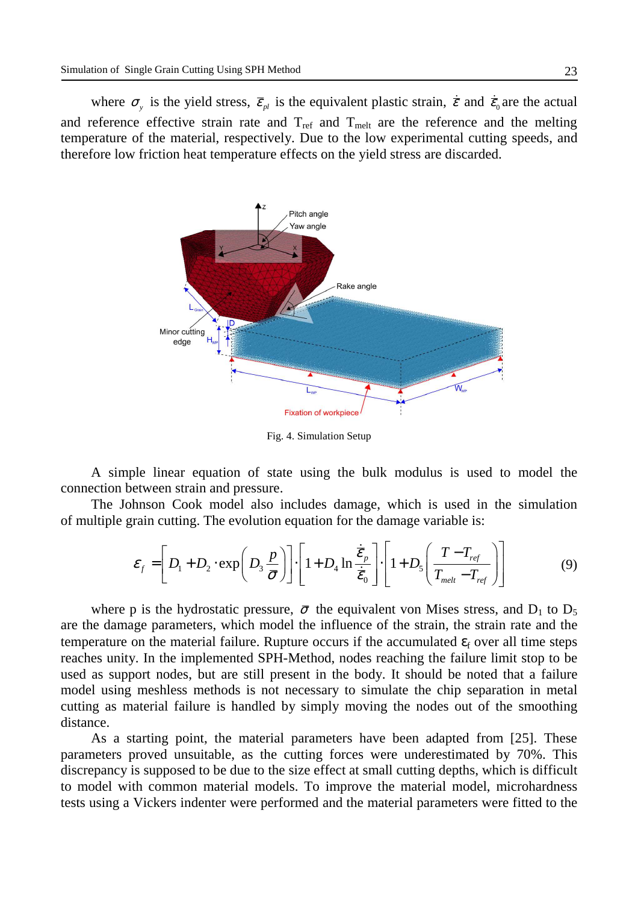where  $\sigma_y$  is the yield stress,  $\bar{\varepsilon}_{pl}$  is the equivalent plastic strain,  $\dot{\bar{\varepsilon}}$  and  $\dot{\bar{\varepsilon}}_0$  are the actual and reference effective strain rate and  $T_{ref}$  and  $T_{melt}$  are the reference and the melting temperature of the material, respectively. Due to the low experimental cutting speeds, and therefore low friction heat temperature effects on the yield stress are discarded.



Fig. 4. Simulation Setup

A simple linear equation of state using the bulk modulus is used to model the connection between strain and pressure.

The Johnson Cook model also includes damage, which is used in the simulation of multiple grain cutting. The evolution equation for the damage variable is:

$$
\varepsilon_{f} = \left[ D_{1} + D_{2} \cdot \exp\left(D_{3} \frac{p}{\bar{\sigma}}\right) \right] \cdot \left[ 1 + D_{4} \ln \frac{\dot{\bar{\varepsilon}}_{p}}{\dot{\bar{\varepsilon}}_{0}} \right] \cdot \left[ 1 + D_{5} \left( \frac{T - T_{ref}}{T_{melt} - T_{ref}} \right) \right]
$$
(9)

where p is the hydrostatic pressure,  $\bar{\sigma}$  the equivalent von Mises stress, and D<sub>1</sub> to D<sub>5</sub> are the damage parameters, which model the influence of the strain, the strain rate and the temperature on the material failure. Rupture occurs if the accumulated  $\varepsilon_f$  over all time steps reaches unity. In the implemented SPH-Method, nodes reaching the failure limit stop to be used as support nodes, but are still present in the body. It should be noted that a failure model using meshless methods is not necessary to simulate the chip separation in metal cutting as material failure is handled by simply moving the nodes out of the smoothing distance.

As a starting point, the material parameters have been adapted from [25]. These parameters proved unsuitable, as the cutting forces were underestimated by 70%. This discrepancy is supposed to be due to the size effect at small cutting depths, which is difficult to model with common material models. To improve the material model, microhardness tests using a Vickers indenter were performed and the material parameters were fitted to the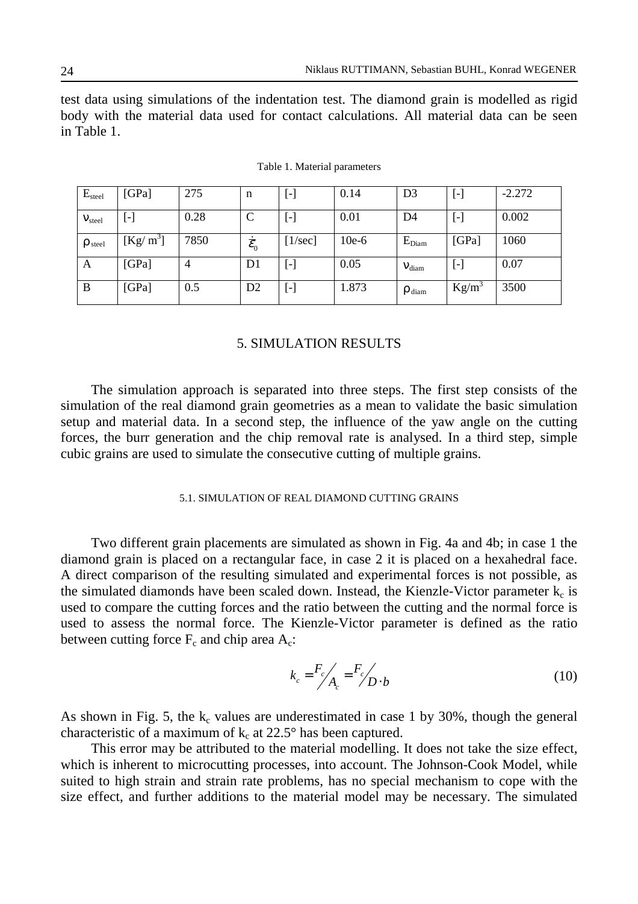test data using simulations of the indentation test. The diamond grain is modelled as rigid body with the material data used for contact calculations. All material data can be seen in Table 1.

| $E_{\text{steel}}$    | [GPa]      | 275            | n                           | $\left[ \text{-}\right]$ | 0.14    | D <sub>3</sub>       | $[\hbox{-}]$ | $-2.272$ |
|-----------------------|------------|----------------|-----------------------------|--------------------------|---------|----------------------|--------------|----------|
| V <sub>steel</sub>    | $[\cdot]$  | 0.28           |                             | $\left[ \cdot \right]$   | 0.01    | D4                   | ۸            | 0.002    |
| $\rho_{\text{steel}}$ | $[Kg/m^3]$ | 7850           | $\dot{\bar{\mathcal{E}}}_0$ | $[1/\text{sec}]$         | $10e-6$ | $E_{Diam}$           | [GPa]        | 1060     |
| A                     | [GPa]      | $\overline{4}$ | D1                          | $\left[ \cdot \right]$   | 0.05    | $V_{\text{diam}}$    | [-]          | 0.07     |
| B                     | [GPa]      | 0.5            | D <sub>2</sub>              | $\left[ \cdot \right]$   | 1.873   | $\rho_{\text{diam}}$ | $Kg/m^3$     | 3500     |

Table 1. Material parameters

# 5. SIMULATION RESULTS

The simulation approach is separated into three steps. The first step consists of the simulation of the real diamond grain geometries as a mean to validate the basic simulation setup and material data. In a second step, the influence of the yaw angle on the cutting forces, the burr generation and the chip removal rate is analysed. In a third step, simple cubic grains are used to simulate the consecutive cutting of multiple grains.

## 5.1. SIMULATION OF REAL DIAMOND CUTTING GRAINS

Two different grain placements are simulated as shown in Fig. 4a and 4b; in case 1 the diamond grain is placed on a rectangular face, in case 2 it is placed on a hexahedral face. A direct comparison of the resulting simulated and experimental forces is not possible, as the simulated diamonds have been scaled down. Instead, the Kienzle-Victor parameter  $k_c$  is used to compare the cutting forces and the ratio between the cutting and the normal force is used to assess the normal force. The Kienzle-Victor parameter is defined as the ratio between cutting force  $F_c$  and chip area  $A_c$ :

$$
k_c = \frac{F_c}{A_c} = \frac{F_c}{D \cdot b}
$$
 (10)

As shown in Fig. 5, the  $k_c$  values are underestimated in case 1 by 30%, though the general characteristic of a maximum of  $k_c$  at 22.5° has been captured.

This error may be attributed to the material modelling. It does not take the size effect, which is inherent to microcutting processes, into account. The Johnson-Cook Model, while suited to high strain and strain rate problems, has no special mechanism to cope with the size effect, and further additions to the material model may be necessary. The simulated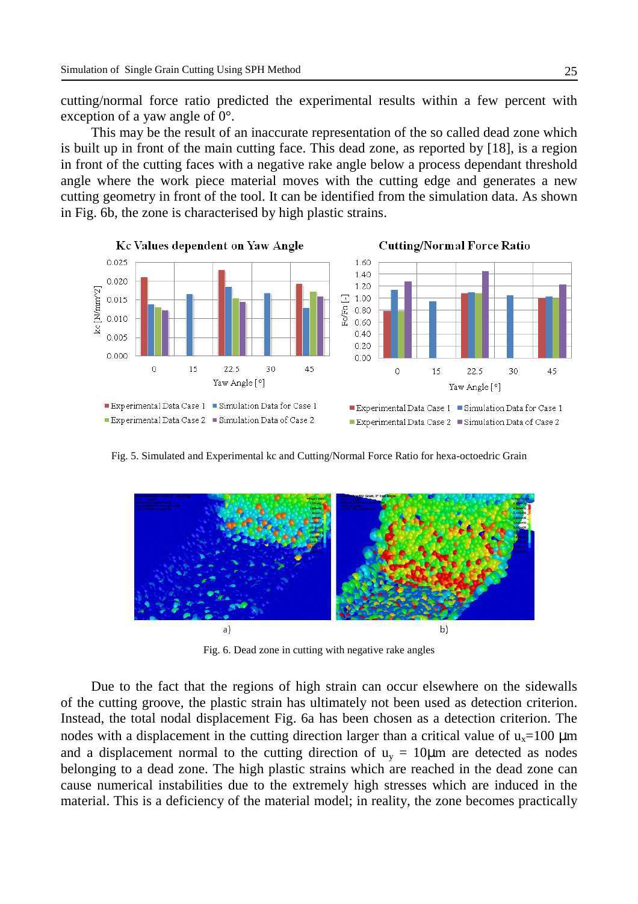cutting/normal force ratio predicted the experimental results within a few percent with exception of a yaw angle of 0°.

This may be the result of an inaccurate representation of the so called dead zone which is built up in front of the main cutting face. This dead zone, as reported by [18], is a region in front of the cutting faces with a negative rake angle below a process dependant threshold angle where the work piece material moves with the cutting edge and generates a new cutting geometry in front of the tool. It can be identified from the simulation data. As shown in Fig. 6b, the zone is characterised by high plastic strains.



Fig. 5. Simulated and Experimental kc and Cutting/Normal Force Ratio for hexa-octoedric Grain



Fig. 6. Dead zone in cutting with negative rake angles

Due to the fact that the regions of high strain can occur elsewhere on the sidewalls of the cutting groove, the plastic strain has ultimately not been used as detection criterion. Instead, the total nodal displacement Fig. 6a has been chosen as a detection criterion. The nodes with a displacement in the cutting direction larger than a critical value of  $u_x=100 \mu m$ and a displacement normal to the cutting direction of  $u_y = 10 \mu m$  are detected as nodes belonging to a dead zone. The high plastic strains which are reached in the dead zone can cause numerical instabilities due to the extremely high stresses which are induced in the material. This is a deficiency of the material model; in reality, the zone becomes practically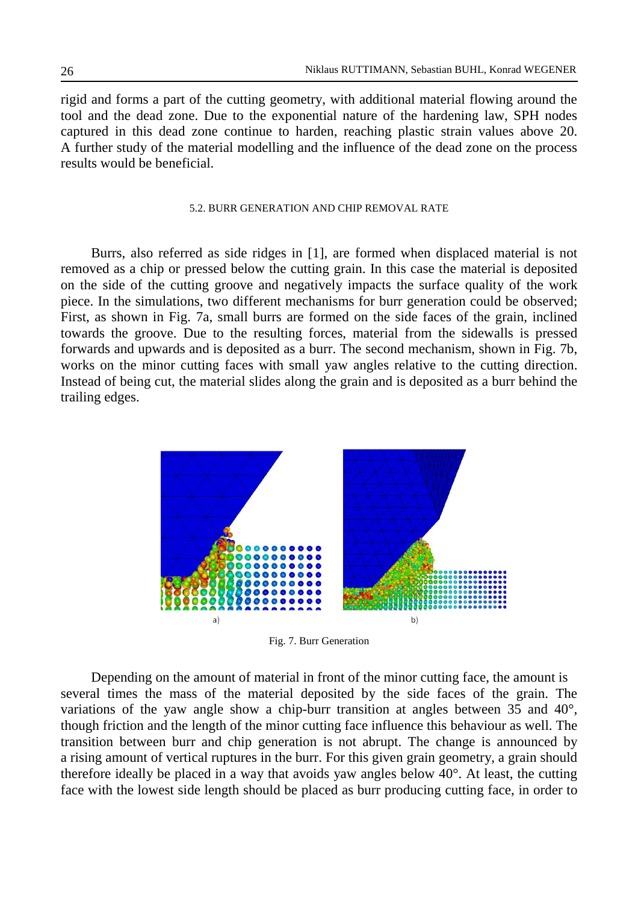rigid and forms a part of the cutting geometry, with additional material flowing around the tool and the dead zone. Due to the exponential nature of the hardening law, SPH nodes captured in this dead zone continue to harden, reaching plastic strain values above 20. A further study of the material modelling and the influence of the dead zone on the process results would be beneficial.

#### 5.2. BURR GENERATION AND CHIP REMOVAL RATE

Burrs, also referred as side ridges in [1], are formed when displaced material is not removed as a chip or pressed below the cutting grain. In this case the material is deposited on the side of the cutting groove and negatively impacts the surface quality of the work piece. In the simulations, two different mechanisms for burr generation could be observed; First, as shown in Fig. 7a, small burrs are formed on the side faces of the grain, inclined towards the groove. Due to the resulting forces, material from the sidewalls is pressed forwards and upwards and is deposited as a burr. The second mechanism, shown in Fig. 7b, works on the minor cutting faces with small yaw angles relative to the cutting direction. Instead of being cut, the material slides along the grain and is deposited as a burr behind the trailing edges.



Fig. 7. Burr Generation

Depending on the amount of material in front of the minor cutting face, the amount is several times the mass of the material deposited by the side faces of the grain. The variations of the yaw angle show a chip-burr transition at angles between 35 and 40°, though friction and the length of the minor cutting face influence this behaviour as well. The transition between burr and chip generation is not abrupt. The change is announced by a rising amount of vertical ruptures in the burr. For this given grain geometry, a grain should therefore ideally be placed in a way that avoids yaw angles below 40°. At least, the cutting face with the lowest side length should be placed as burr producing cutting face, in order to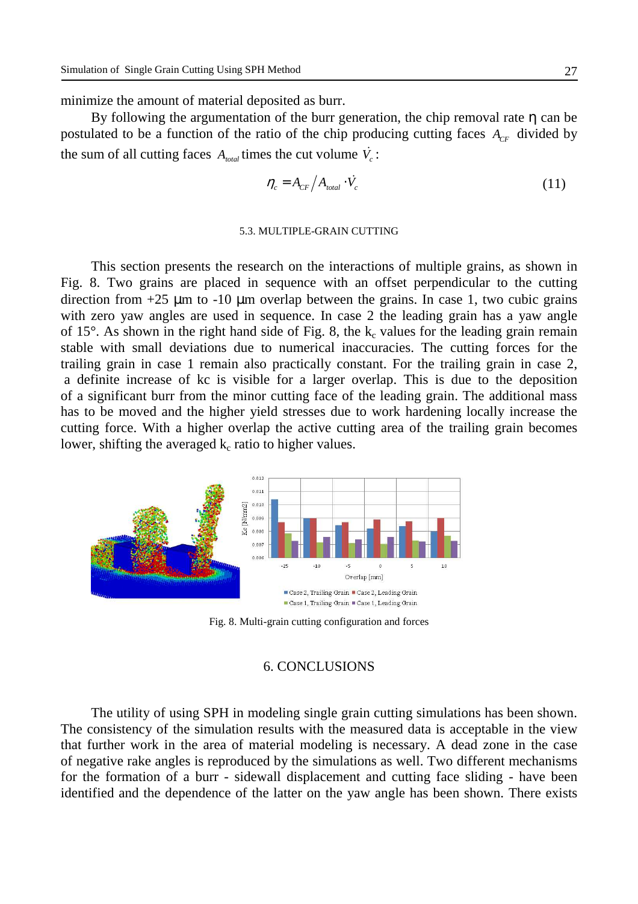minimize the amount of material deposited as burr.

By following the argumentation of the burr generation, the chip removal rate η can be postulated to be a function of the ratio of the chip producing cutting faces  $A_{CF}$  divided by the sum of all cutting faces  $A_{total}$  times the cut volume  $\dot{V}_c$ :

$$
\eta_c = A_{CF} / A_{total} \cdot \dot{V}_c \tag{11}
$$

#### 5.3. MULTIPLE-GRAIN CUTTING

This section presents the research on the interactions of multiple grains, as shown in Fig. 8. Two grains are placed in sequence with an offset perpendicular to the cutting direction from  $+25 \mu m$  to  $-10 \mu m$  overlap between the grains. In case 1, two cubic grains with zero yaw angles are used in sequence. In case 2 the leading grain has a yaw angle of 15 $^{\circ}$ . As shown in the right hand side of Fig. 8, the  $k_c$  values for the leading grain remain stable with small deviations due to numerical inaccuracies. The cutting forces for the trailing grain in case 1 remain also practically constant. For the trailing grain in case 2, a definite increase of kc is visible for a larger overlap. This is due to the deposition of a significant burr from the minor cutting face of the leading grain. The additional mass has to be moved and the higher yield stresses due to work hardening locally increase the cutting force. With a higher overlap the active cutting area of the trailing grain becomes lower, shifting the averaged  $k_c$  ratio to higher values.



Fig. 8. Multi-grain cutting configuration and forces

# 6. CONCLUSIONS

The utility of using SPH in modeling single grain cutting simulations has been shown. The consistency of the simulation results with the measured data is acceptable in the view that further work in the area of material modeling is necessary. A dead zone in the case of negative rake angles is reproduced by the simulations as well. Two different mechanisms for the formation of a burr - sidewall displacement and cutting face sliding - have been identified and the dependence of the latter on the yaw angle has been shown. There exists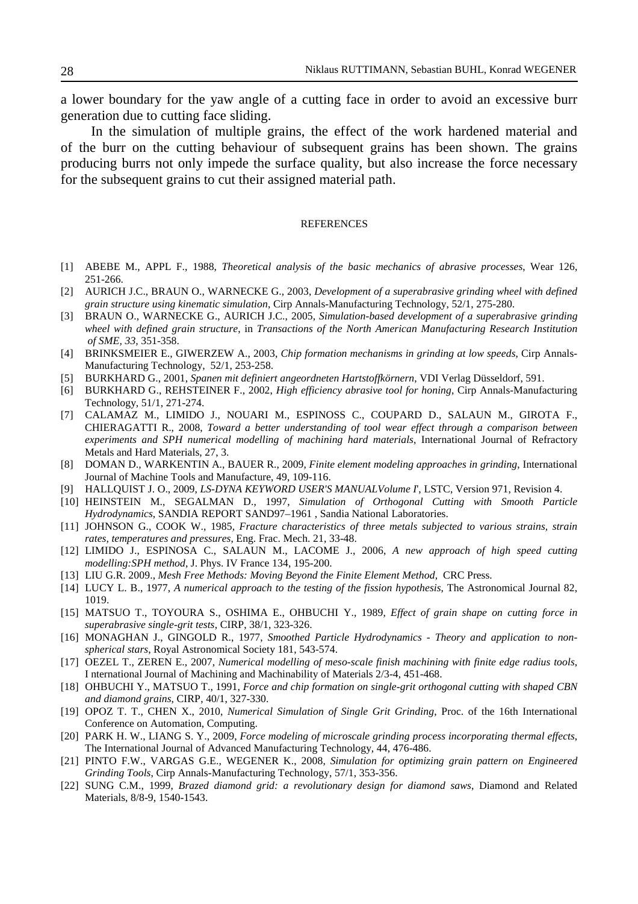a lower boundary for the yaw angle of a cutting face in order to avoid an excessive burr generation due to cutting face sliding.

In the simulation of multiple grains, the effect of the work hardened material and of the burr on the cutting behaviour of subsequent grains has been shown. The grains producing burrs not only impede the surface quality, but also increase the force necessary for the subsequent grains to cut their assigned material path.

#### REFERENCES

- [1] ABEBE M., APPL F., 1988, *Theoretical analysis of the basic mechanics of abrasive processes*, Wear 126, 251-266.
- [2] AURICH J.C., BRAUN O., WARNECKE G., 2003, *Development of a superabrasive grinding wheel with defined grain structure using kinematic simulation*, Cirp Annals-Manufacturing Technology, 52/1, 275-280.
- [3] BRAUN O., WARNECKE G., AURICH J.C., 2005, *Simulation-based development of a superabrasive grinding wheel with defined grain structure*, in *Transactions of the North American Manufacturing Research Institution of SME, 33,* 351-358.
- [4] BRINKSMEIER E., GIWERZEW A., 2003, *Chip formation mechanisms in grinding at low speeds*, Cirp Annals-Manufacturing Technology, 52/1, 253-258.
- [5] BURKHARD G., 2001, *Spanen mit definiert angeordneten Hartstoffkörnern*, VDI Verlag Düsseldorf, 591.
- [6] BURKHARD G., REHSTEINER F., 2002, *High efficiency abrasive tool for honing*, Cirp Annals-Manufacturing Technology, 51/1, 271-274.
- [7] CALAMAZ M., LIMIDO J., NOUARI M., ESPINOSS C., COUPARD D., SALAUN M., GIROTA F., CHIERAGATTI R., 2008, *Toward a better understanding of tool wear effect through a comparison between experiments and SPH numerical modelling of machining hard materials*, International Journal of Refractory Metals and Hard Materials, 27, 3.
- [8] DOMAN D., WARKENTIN A., BAUER R., 2009, *Finite element modeling approaches in grinding*, International Journal of Machine Tools and Manufacture, 49, 109-116.
- [9] HALLQUIST J. O., 2009, *LS-DYNA KEYWORD USER'S MANUALVolume I*', LSTC, Version 971, Revision 4.
- [10] HEINSTEIN M., SEGALMAN D., 1997, *Simulation of Orthogonal Cutting with Smooth Particle Hydrodynamics*, SANDIA REPORT SAND97–1961 , Sandia National Laboratories.
- [11] JOHNSON G., COOK W., 1985, *Fracture characteristics of three metals subjected to various strains, strain rates, temperatures and pressures*, Eng. Frac. Mech. 21, 33-48.
- [12] LIMIDO J., ESPINOSA C., SALAUN M., LACOME J., 2006, *A new approach of high speed cutting modelling:SPH method*, J. Phys. IV France 134, 195-200.
- [13] LIU G.R. 2009., *Mesh Free Methods: Moving Beyond the Finite Element Method,* CRC Press.
- [14] LUCY L. B., 1977, *A numerical approach to the testing of the fission hypothesis*, The Astronomical Journal 82, 1019.
- [15] MATSUO T., TOYOURA S., OSHIMA E., OHBUCHI Y., 1989, *Effect of grain shape on cutting force in superabrasive single-grit tests*, CIRP, 38/1, 323-326.
- [16] MONAGHAN J., GINGOLD R., 1977, *Smoothed Particle Hydrodynamics Theory and application to nonspherical stars*, Royal Astronomical Society 181, 543-574.
- [17] OEZEL T., ZEREN E., 2007, *Numerical modelling of meso-scale finish machining with finite edge radius tools*, I nternational Journal of Machining and Machinability of Materials 2/3-4, 451-468.
- [18] OHBUCHI Y., MATSUO T., 1991, *Force and chip formation on single-grit orthogonal cutting with shaped CBN and diamond grains*, CIRP, 40/1, 327-330.
- [19] OPOZ T. T., CHEN X., 2010, *Numerical Simulation of Single Grit Grinding*, Proc. of the 16th International Conference on Automation, Computing.
- [20] PARK H. W., LIANG S. Y., 2009, *Force modeling of microscale grinding process incorporating thermal effects*, The International Journal of Advanced Manufacturing Technology, 44, 476-486.
- [21] PINTO F.W., VARGAS G.E., WEGENER K., 2008, *Simulation for optimizing grain pattern on Engineered Grinding Tools*, Cirp Annals-Manufacturing Technology, 57/1, 353-356.
- [22] SUNG C.M., 1999, *Brazed diamond grid: a revolutionary design for diamond saws*, Diamond and Related Materials, 8/8-9, 1540-1543.